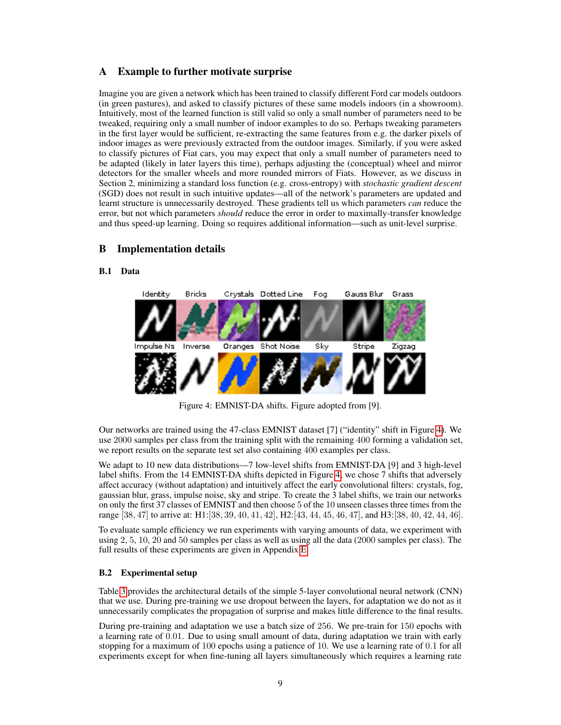# A Example to further motivate surprise

Imagine you are given a network which has been trained to classify different Ford car models outdoors (in green pastures), and asked to classify pictures of these same models indoors (in a showroom). Intuitively, most of the learned function is still valid so only a small number of parameters need to be tweaked, requiring only a small number of indoor examples to do so. Perhaps tweaking parameters in the first layer would be sufficient, re-extracting the same features from e.g. the darker pixels of indoor images as were previously extracted from the outdoor images. Similarly, if you were asked to classify pictures of Fiat cars, you may expect that only a small number of parameters need to be adapted (likely in later layers this time), perhaps adjusting the (conceptual) wheel and mirror detectors for the smaller wheels and more rounded mirrors of Fiats. However, as we discuss in Section 2, minimizing a standard loss function (e.g. cross-entropy) with *stochastic gradient descent* (SGD) does not result in such intuitive updates—all of the network's parameters are updated and learnt structure is unnecessarily destroyed. These gradients tell us which parameters *can* reduce the error, but not which parameters *should* reduce the error in order to maximally-transfer knowledge and thus speed-up learning. Doing so requires additional information—such as unit-level surprise.

# B Implementation details

### <span id="page-0-0"></span>B.1 Data



Figure 4: EMNIST-DA shifts. Figure adopted from [9].

Our networks are trained using the 47-class EMNIST dataset [7] ("identity" shift in Figure [4\)](#page-0-0). We use 2000 samples per class from the training split with the remaining 400 forming a validation set, we report results on the separate test set also containing 400 examples per class.

We adapt to 10 new data distributions—7 low-level shifts from EMNIST-DA [9] and 3 high-level label shifts. From the 14 EMNIST-DA shifts depicted in Figure [4,](#page-0-0) we chose 7 shifts that adversely affect accuracy (without adaptation) and intuitively affect the early convolutional filters: crystals, fog, gaussian blur, grass, impulse noise, sky and stripe. To create the 3 label shifts, we train our networks on only the first 37 classes of EMNIST and then choose 5 of the 10 unseen classes three times from the range [38, 47] to arrive at: H1:[38, 39, 40, 41, 42], H2:[43, 44, 45, 46, 47], and H3:[38, 40, 42, 44, 46].

To evaluate sample efficiency we run experiments with varying amounts of data, we experiment with using 2, 5, 10, 20 and 50 samples per class as well as using all the data (2000 samples per class). The full results of these experiments are given in Appendix [E.](#page-5-0)

## B.2 Experimental setup

Table [3](#page-1-0) provides the architectural details of the simple 5-layer convolutional neural network (CNN) that we use. During pre-training we use dropout between the layers, for adaptation we do not as it unnecessarily complicates the propagation of surprise and makes little difference to the final results.

During pre-training and adaptation we use a batch size of 256. We pre-train for 150 epochs with a learning rate of 0.01. Due to using small amount of data, during adaptation we train with early stopping for a maximum of 100 epochs using a patience of 10. We use a learning rate of 0.1 for all experiments except for when fine-tuning all layers simultaneously which requires a learning rate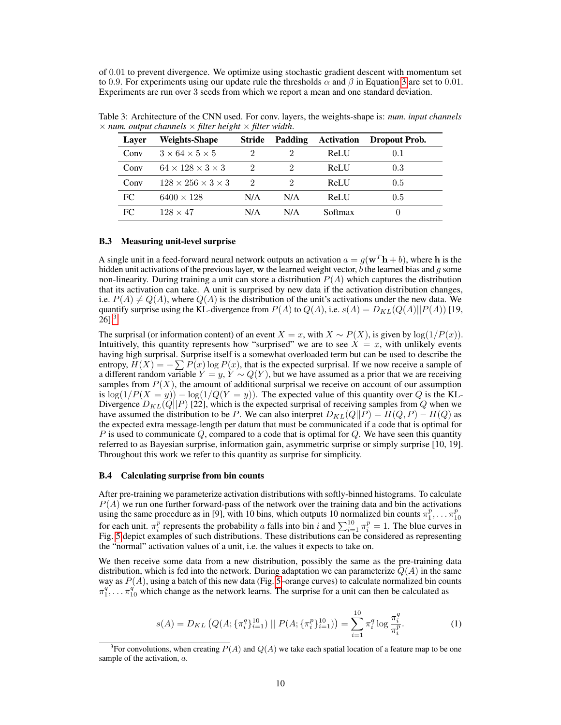of 0.01 to prevent divergence. We optimize using stochastic gradient descent with momentum set to 0.9. For experiments using our update rule the thresholds  $\alpha$  and  $\beta$  in Equation [3](#page-2-0) are set to 0.01. Experiments are run over 3 seeds from which we report a mean and one standard deviation.

| Layer | <b>Weights-Shape</b>               | <b>Stride</b> | Padding | <b>Activation</b> | <b>Dropout Prob.</b> |
|-------|------------------------------------|---------------|---------|-------------------|----------------------|
| Conv  | $3 \times 64 \times 5 \times 5$    | 2             |         | ReLU              | 0.1                  |
| Conv  | $64 \times 128 \times 3 \times 3$  | 2             |         | ReLU              | 0.3                  |
| Conv  | $128 \times 256 \times 3 \times 3$ | $\mathcal{D}$ |         | ReLU              | 0.5                  |
| FC    | $6400 \times 128$                  | N/A           | N/A     | ReLU              | 0.5                  |
| FC.   | $128 \times 47$                    | N/A           | N/A     | Softmax           | U                    |

<span id="page-1-0"></span>Table 3: Architecture of the CNN used. For conv. layers, the weights-shape is: *num. input channels*  $\times$  *num. output channels*  $\times$  *filter height*  $\times$  *filter width.* 

#### B.3 Measuring unit-level surprise

A single unit in a feed-forward neural network outputs an activation  $a = g(\mathbf{w}^T \mathbf{h} + b)$ , where h is the hidden unit activations of the previous layer, w the learned weight vector, b the learned bias and g some non-linearity. During training a unit can store a distribution  $P(A)$  which captures the distribution that its activation can take. A unit is surprised by new data if the activation distribution changes, i.e.  $P(A) \neq Q(A)$ , where  $Q(A)$  is the distribution of the unit's activations under the new data. We quantify surprise using the KL-divergence from  $P(A)$  to  $Q(A)$ , i.e.  $s(A) = D_{KL}(Q(A)||P(A))$  [19,  $26$ ].<sup>[3](#page-1-1)</sup>

The surprisal (or information content) of an event  $X = x$ , with  $X \sim P(X)$ , is given by  $\log(1/P(x))$ . Intuitively, this quantity represents how "surprised" we are to see  $X = x$ , with unlikely events having high surprisal. Surprise itself is a somewhat overloaded term but can be used to describe the entropy,  $H(X) = -\sum P(x) \log P(x)$ , that is the expected surprisal. If we now receive a sample of a different random variable  $Y = y$ ,  $Y \sim Q(Y)$ , but we have assumed as a prior that we are receiving samples from  $P(X)$ , the amount of additional surprisal we receive on account of our assumption is  $\log(1/P(X = y)) - \log(1/Q(Y = y))$ . The expected value of this quantity over Q is the KL-Divergence  $D_{KL}(Q||P)$  [22], which is the expected surprisal of receiving samples from Q when we have assumed the distribution to be P. We can also interpret  $D_{KL}(Q||P) = H(Q, P) - H(Q)$  as the expected extra message-length per datum that must be communicated if a code that is optimal for P is used to communicate Q, compared to a code that is optimal for Q. We have seen this quantity referred to as Bayesian surprise, information gain, asymmetric surprise or simply surprise [10, 19]. Throughout this work we refer to this quantity as surprise for simplicity.

#### B.4 Calculating surprise from bin counts

After pre-training we parameterize activation distributions with softly-binned histograms. To calculate  $P(A)$  we run one further forward-pass of the network over the training data and bin the activations using the same procedure as in [9], with 10 bins, which outputs 10 normalized bin counts  $\pi_1^p, \ldots, \pi_{10}^p$ for each unit.  $\pi_i^p$  represents the probability a falls into bin i and  $\sum_{i=1}^{10} \pi_i^p = 1$ . The blue curves in Fig. [5](#page-2-1) depict examples of such distributions. These distributions can be considered as representing the "normal" activation values of a unit, i.e. the values it expects to take on.

We then receive some data from a new distribution, possibly the same as the pre-training data distribution, which is fed into the network. During adaptation we can parameterize  $Q(A)$  in the same way as  $P(A)$ , using a batch of this new data (Fig. [5–](#page-2-1)orange curves) to calculate normalized bin counts  $\pi_1^q$ ,  $\ldots$ ,  $\pi_{10}^q$  which change as the network learns. The surprise for a unit can then be calculated as

$$
s(A) = D_{KL} \left( Q(A; \{ \pi_i^q \}_{i=1}^{10}) \mid P(A; \{ \pi_i^p \}_{i=1}^{10}) \right) = \sum_{i=1}^{10} \pi_i^q \log \frac{\pi_i^q}{\pi_i^p}.
$$
 (1)

<span id="page-1-1"></span><sup>&</sup>lt;sup>3</sup>For convolutions, when creating  $P(A)$  and  $Q(A)$  we take each spatial location of a feature map to be one sample of the activation,  $a$ .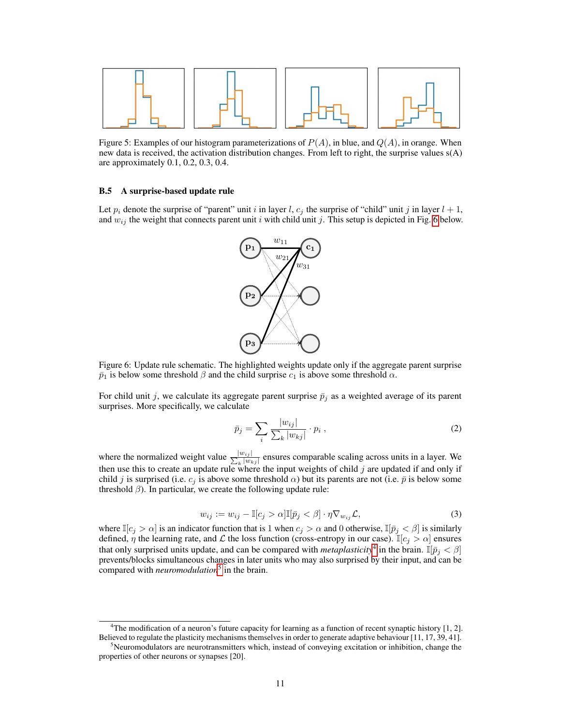<span id="page-2-1"></span>

Figure 5: Examples of our histogram parameterizations of  $P(A)$ , in blue, and  $Q(A)$ , in orange. When new data is received, the activation distribution changes. From left to right, the surprise values s(A) are approximately 0.1, 0.2, 0.3, 0.4.

#### B.5 A surprise-based update rule

<span id="page-2-2"></span>Let  $p_i$  denote the surprise of "parent" unit i in layer l,  $c_j$  the surprise of "child" unit j in layer  $l + 1$ , and  $w_{ij}$  the weight that connects parent unit i with child unit j. This setup is depicted in Fig. [6](#page-2-2) below.



Figure 6: Update rule schematic. The highlighted weights update only if the aggregate parent surprise  $\bar{p}_1$  is below some threshold  $\beta$  and the child surprise  $c_1$  is above some threshold  $\alpha$ .

For child unit j, we calculate its aggregate parent surprise  $\bar{p}_i$  as a weighted average of its parent surprises. More specifically, we calculate

$$
\bar{p}_j = \sum_i \frac{|w_{ij}|}{\sum_k |w_{kj}|} \cdot p_i , \qquad (2)
$$

where the normalized weight value  $\frac{|w_{ij}|}{\sum_{b} |w_b|}$  $\frac{|w_{ij}|}{|w_{kj}|}$  ensures comparable scaling across units in a layer. We then use this to create an update rule where the input weights of child  $j$  are updated if and only if child j is surprised (i.e.  $c_j$  is above some threshold  $\alpha$ ) but its parents are not (i.e.  $\bar{p}$  is below some threshold  $\beta$ ). In particular, we create the following update rule:

$$
w_{ij} := w_{ij} - \mathbb{I}[c_j > \alpha] \mathbb{I}[\bar{p}_j < \beta] \cdot \eta \nabla_{w_{ij}} \mathcal{L},\tag{3}
$$

<span id="page-2-0"></span>where  $\mathbb{I}[c_i > \alpha]$  is an indicator function that is 1 when  $c_i > \alpha$  and 0 otherwise,  $\mathbb{I}[\bar{p}_i < \beta]$  is similarly defined,  $\eta$  the learning rate, and  $\mathcal L$  the loss function (cross-entropy in our case).  $\mathbb{I}[c_j > \alpha]$  ensures that only surprised units update, and can be compared with *metaplasticity*<sup>[4](#page-2-3)</sup> in the brain.  $\mathbb{I}[\bar{p}_j < \beta]$ prevents/blocks simultaneous changes in later units who may also surprised by their input, and can be compared with *neuromodulation*[5](#page-2-4) in the brain.

<span id="page-2-3"></span><sup>&</sup>lt;sup>4</sup>The modification of a neuron's future capacity for learning as a function of recent synaptic history [1, 2]. Believed to regulate the plasticity mechanisms themselves in order to generate adaptive behaviour [11, 17, 39, 41].

<span id="page-2-4"></span><sup>5</sup>Neuromodulators are neurotransmitters which, instead of conveying excitation or inhibition, change the properties of other neurons or synapses [20].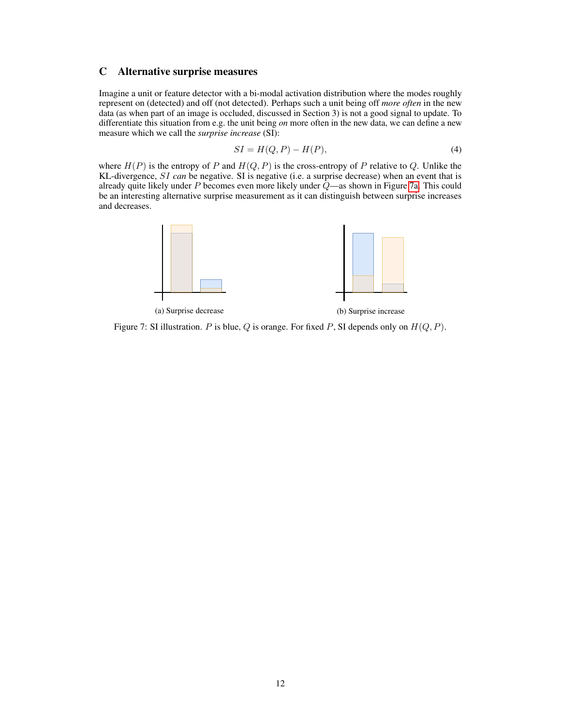## C Alternative surprise measures

Imagine a unit or feature detector with a bi-modal activation distribution where the modes roughly represent on (detected) and off (not detected). Perhaps such a unit being off *more often* in the new data (as when part of an image is occluded, discussed in Section 3) is not a good signal to update. To differentiate this situation from e.g. the unit being *on* more often in the new data, we can define a new measure which we call the *surprise increase* (SI):

$$
SI = H(Q, P) - H(P),\tag{4}
$$

where  $H(P)$  is the entropy of P and  $H(Q, P)$  is the cross-entropy of P relative to Q. Unlike the KL-divergence, SI *can* be negative. SI is negative (i.e. a surprise decrease) when an event that is already quite likely under P becomes even more likely under  $\overline{Q}$ —as shown in Figure [7a.](#page-3-0) This could be an interesting alternative surprise measurement as it can distinguish between surprise increases and decreases.

<span id="page-3-0"></span>

(a) Surprise decrease (b) Surprise increase

Figure 7: SI illustration. P is blue, Q is orange. For fixed P, SI depends only on  $H(Q, P)$ .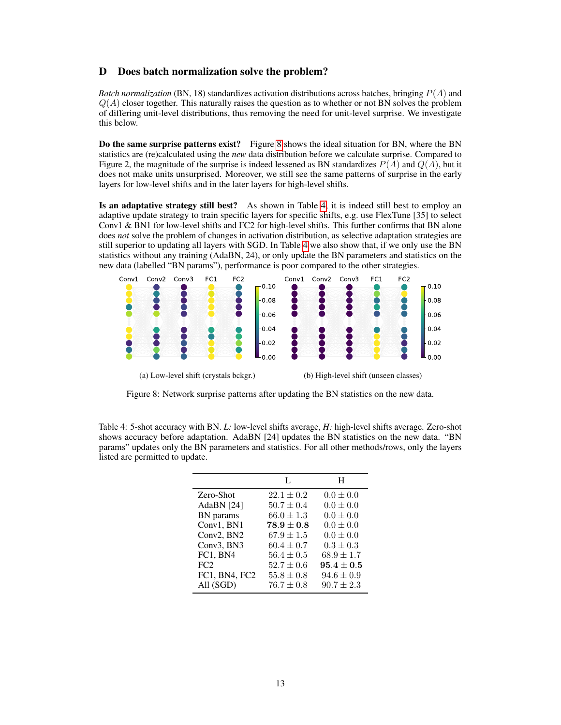## D Does batch normalization solve the problem?

*Batch normalization* (BN, 18) standardizes activation distributions across batches, bringing  $P(A)$  and  $Q(A)$  closer together. This naturally raises the question as to whether or not BN solves the problem of differing unit-level distributions, thus removing the need for unit-level surprise. We investigate this below.

Do the same surprise patterns exist? Figure [8](#page-4-0) shows the ideal situation for BN, where the BN statistics are (re)calculated using the *new* data distribution before we calculate surprise. Compared to Figure 2, the magnitude of the surprise is indeed lessened as BN standardizes  $P(A)$  and  $Q(A)$ , but it does not make units unsurprised. Moreover, we still see the same patterns of surprise in the early layers for low-level shifts and in the later layers for high-level shifts.

Is an adaptative strategy still best? As shown in Table [4,](#page-4-1) it is indeed still best to employ an adaptive update strategy to train specific layers for specific shifts, e.g. use FlexTune [35] to select Conv1 & BN1 for low-level shifts and FC2 for high-level shifts. This further confirms that BN alone does *not* solve the problem of changes in activation distribution, as selective adaptation strategies are still superior to updating all layers with SGD. In Table [4](#page-4-1) we also show that, if we only use the BN statistics without any training (AdaBN, 24), or only update the BN parameters and statistics on the new data (labelled "BN params"), performance is poor compared to the other strategies.

<span id="page-4-0"></span>

Figure 8: Network surprise patterns after updating the BN statistics on the new data.

<span id="page-4-1"></span>Table 4: 5-shot accuracy with BN. *L:* low-level shifts average, *H:* high-level shifts average. Zero-shot shows accuracy before adaptation. AdaBN [24] updates the BN statistics on the new data. "BN params" updates only the BN parameters and statistics. For all other methods/rows, only the layers listed are permitted to update.

|               | L              | Н              |
|---------------|----------------|----------------|
| Zero-Shot     | $22.1 \pm 0.2$ | $0.0 \pm 0.0$  |
| AdaBN [24]    | $50.7 \pm 0.4$ | $0.0 \pm 0.0$  |
| BN params     | $66.0 \pm 1.3$ | $0.0 \pm 0.0$  |
| Conv1, BN1    | $78.9 \pm 0.8$ | $0.0 \pm 0.0$  |
| Conv2, BN2    | $67.9 \pm 1.5$ | $0.0 \pm 0.0$  |
| Conv3, BN3    | $60.4 \pm 0.7$ | $0.3 \pm 0.3$  |
| FC1, BN4      | $56.4 \pm 0.5$ | $68.9 \pm 1.7$ |
| FC2           | $52.7 \pm 0.6$ | $95.4 \pm 0.5$ |
| FC1, BN4, FC2 | $55.8 \pm 0.8$ | $94.6 \pm 0.9$ |
| All (SGD)     | $76.7 \pm 0.8$ | $90.7 \pm 2.3$ |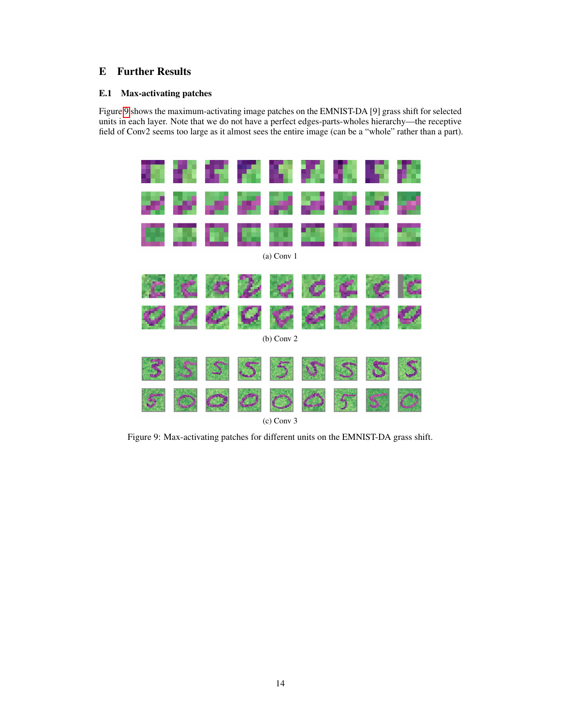# <span id="page-5-0"></span>E Further Results

## E.1 Max-activating patches

Figure [9](#page-5-1) shows the maximum-activating image patches on the EMNIST-DA [9] grass shift for selected units in each layer. Note that we do not have a perfect edges-parts-wholes hierarchy—the receptive field of Conv2 seems too large as it almost sees the entire image (can be a "whole" rather than a part).

<span id="page-5-1"></span>

Figure 9: Max-activating patches for different units on the EMNIST-DA grass shift.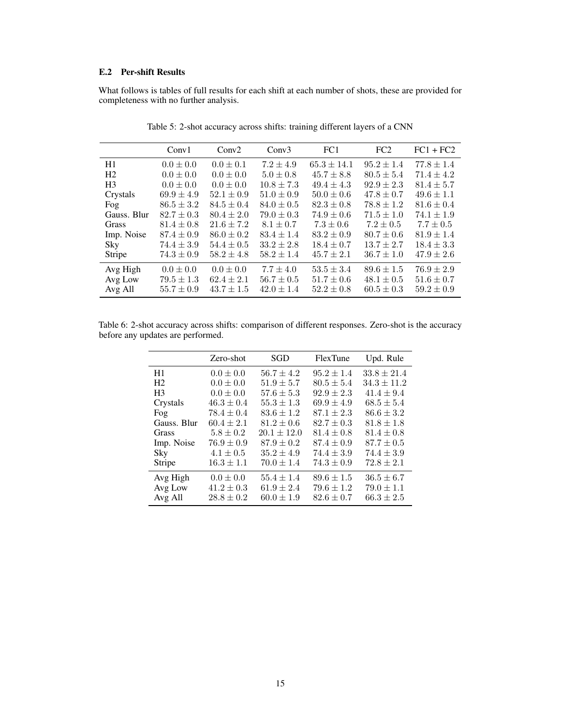## E.2 Per-shift Results

What follows is tables of full results for each shift at each number of shots, these are provided for completeness with no further analysis.

|                | Conv1          | Conv2          | Conv3          | FC1             | FC2            | $FC1 + FC2$    |
|----------------|----------------|----------------|----------------|-----------------|----------------|----------------|
| H1             | $0.0 \pm 0.0$  | $0.0 \pm 0.1$  | $7.2 \pm 4.9$  | $65.3 \pm 14.1$ | $95.2 \pm 1.4$ | $77.8 \pm 1.4$ |
| H <sub>2</sub> | $0.0 \pm 0.0$  | $0.0 \pm 0.0$  | $5.0 \pm 0.8$  | $45.7 \pm 8.8$  | $80.5 \pm 5.4$ | $71.4 \pm 4.2$ |
| H <sub>3</sub> | $0.0 \pm 0.0$  | $0.0 \pm 0.0$  | $10.8 \pm 7.3$ | $49.4 \pm 4.3$  | $92.9 \pm 2.3$ | $81.4 \pm 5.7$ |
| Crystals       | $69.9 \pm 4.9$ | $52.1 \pm 0.9$ | $51.0 \pm 0.9$ | $50.0 \pm 0.6$  | $47.8 \pm 0.7$ | $49.6 \pm 1.1$ |
| Fog            | $86.5 \pm 3.2$ | $84.5 \pm 0.4$ | $84.0 \pm 0.5$ | $82.3 \pm 0.8$  | $78.8 \pm 1.2$ | $81.6 \pm 0.4$ |
| Gauss, Blur    | $82.7 \pm 0.3$ | $80.4 \pm 2.0$ | $79.0 \pm 0.3$ | $74.9 \pm 0.6$  | $71.5 \pm 1.0$ | $74.1 \pm 1.9$ |
| Grass          | $81.4 \pm 0.8$ | $21.6 \pm 7.2$ | $8.1 \pm 0.7$  | $7.3 \pm 0.6$   | $7.2 \pm 0.5$  | $7.7 \pm 0.5$  |
| Imp. Noise     | $87.4 \pm 0.9$ | $86.0 \pm 0.2$ | $83.4 \pm 1.4$ | $83.2 \pm 0.9$  | $80.7 \pm 0.6$ | $81.9 \pm 1.4$ |
| Sky            | $74.4 \pm 3.9$ | $54.4 \pm 0.5$ | $33.2 \pm 2.8$ | $18.4 \pm 0.7$  | $13.7 \pm 2.7$ | $18.4 \pm 3.3$ |
| Stripe         | $74.3 \pm 0.9$ | $58.2 \pm 4.8$ | $58.2 \pm 1.4$ | $45.7 \pm 2.1$  | $36.7 \pm 1.0$ | $47.9 \pm 2.6$ |
| Avg High       | $0.0 \pm 0.0$  | $0.0 \pm 0.0$  | $7.7 \pm 4.0$  | $53.5 \pm 3.4$  | $89.6 \pm 1.5$ | $76.9 \pm 2.9$ |
| Avg Low        | $79.5 \pm 1.3$ | $62.4 \pm 2.1$ | $56.7 \pm 0.5$ | $51.7 \pm 0.6$  | $48.1 \pm 0.5$ | $51.6 \pm 0.7$ |
| Avg All        | $55.7 \pm 0.9$ | $43.7 \pm 1.5$ | $42.0 \pm 1.4$ | $52.2 \pm 0.8$  | $60.5 \pm 0.3$ | $59.2 \pm 0.9$ |

Table 5: 2-shot accuracy across shifts: training different layers of a CNN

Table 6: 2-shot accuracy across shifts: comparison of different responses. Zero-shot is the accuracy before any updates are performed.

|                | Zero-shot      | SGD             | FlexTune       | Upd. Rule       |
|----------------|----------------|-----------------|----------------|-----------------|
| H1             | $0.0 \pm 0.0$  | $56.7 \pm 4.2$  | $95.2 \pm 1.4$ | $33.8 \pm 21.4$ |
| H2             | $0.0 \pm 0.0$  | $51.9 \pm 5.7$  | $80.5 \pm 5.4$ | $34.3 \pm 11.2$ |
| H <sup>3</sup> | $0.0 \pm 0.0$  | $57.6 \pm 5.3$  | $92.9 \pm 2.3$ | $41.4 \pm 9.4$  |
| Crystals       | $46.3 \pm 0.4$ | $55.3 \pm 1.3$  | $69.9 \pm 4.9$ | $68.5 \pm 5.4$  |
| Fog            | $78.4 \pm 0.4$ | $83.6 \pm 1.2$  | $87.1 \pm 2.3$ | $86.6 \pm 3.2$  |
| Gauss. Blur    | $60.4 \pm 2.1$ | $81.2 \pm 0.6$  | $82.7 \pm 0.3$ | $81.8 \pm 1.8$  |
| Grass          | $5.8 \pm 0.2$  | $20.1 \pm 12.0$ | $81.4 \pm 0.8$ | $81.4 \pm 0.8$  |
| Imp. Noise     | $76.9 \pm 0.9$ | $87.9 \pm 0.2$  | $87.4 \pm 0.9$ | $87.7 \pm 0.5$  |
| Sky            | $4.1 \pm 0.5$  | $35.2 + 4.9$    | $74.4 \pm 3.9$ | $74.4 \pm 3.9$  |
| Stripe         | $16.3 \pm 1.1$ | $70.0 \pm 1.4$  | $74.3 \pm 0.9$ | $72.8 \pm 2.1$  |
| Avg High       | $0.0 \pm 0.0$  | $55.4 \pm 1.4$  | $89.6 \pm 1.5$ | $36.5 \pm 6.7$  |
| Avg Low        | $41.2 \pm 0.3$ | $61.9 \pm 2.4$  | $79.6 \pm 1.2$ | $79.0 \pm 1.1$  |
| Avg All        | $28.8 \pm 0.2$ | $60.0 \pm 1.9$  | $82.6 \pm 0.7$ | $66.3 \pm 2.5$  |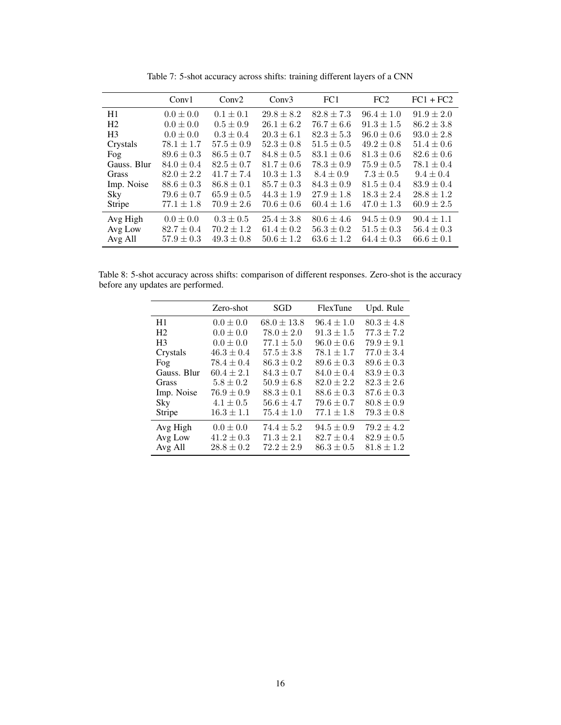|                | Conv1          | Conv2          | Conv3          | FC1            | FC2            | $FC1 + FC2$    |
|----------------|----------------|----------------|----------------|----------------|----------------|----------------|
| H1             | $0.0 \pm 0.0$  | $0.1 \pm 0.1$  | $29.8 \pm 8.2$ | $82.8 \pm 7.3$ | $96.4 \pm 1.0$ | $91.9 \pm 2.0$ |
| H <sub>2</sub> | $0.0 \pm 0.0$  | $0.5 \pm 0.9$  | $26.1 \pm 6.2$ | $76.7 \pm 6.6$ | $91.3 \pm 1.5$ | $86.2 \pm 3.8$ |
| H <sub>3</sub> | $0.0 \pm 0.0$  | $0.3 \pm 0.4$  | $20.3 \pm 6.1$ | $82.3 \pm 5.3$ | $96.0 \pm 0.6$ | $93.0 \pm 2.8$ |
| Crystals       | $78.1 \pm 1.7$ | $57.5 \pm 0.9$ | $52.3 \pm 0.8$ | $51.5 \pm 0.5$ | $49.2 \pm 0.8$ | $51.4 \pm 0.6$ |
| Fog            | $89.6 \pm 0.3$ | $86.5 \pm 0.7$ | $84.8 \pm 0.5$ | $83.1 \pm 0.6$ | $81.3 \pm 0.6$ | $82.6 \pm 0.6$ |
| Gauss. Blur    | $84.0 \pm 0.4$ | $82.5 \pm 0.7$ | $81.7 \pm 0.6$ | $78.3 \pm 0.9$ | $75.9 \pm 0.5$ | $78.1 \pm 0.4$ |
| Grass          | $82.0 \pm 2.2$ | $41.7 \pm 7.4$ | $10.3 \pm 1.3$ | $8.4 \pm 0.9$  | $7.3 \pm 0.5$  | $9.4 \pm 0.4$  |
| Imp. Noise     | $88.6 \pm 0.3$ | $86.8 \pm 0.1$ | $85.7 \pm 0.3$ | $84.3 \pm 0.9$ | $81.5 \pm 0.4$ | $83.9 \pm 0.4$ |
| Sky            | $79.6 \pm 0.7$ | $65.9 \pm 0.5$ | $44.3 \pm 1.9$ | $27.9 \pm 1.8$ | $18.3 \pm 2.4$ | $28.8 \pm 1.2$ |
| Stripe         | $77.1 \pm 1.8$ | $70.9 \pm 2.6$ | $70.6 \pm 0.6$ | $60.4 \pm 1.6$ | $47.0 \pm 1.3$ | $60.9 \pm 2.5$ |
| Avg High       | $0.0 \pm 0.0$  | $0.3 \pm 0.5$  | $25.4 \pm 3.8$ | $80.6 \pm 4.6$ | $94.5 \pm 0.9$ | $90.4 \pm 1.1$ |
| Avg Low        | $82.7 \pm 0.4$ | $70.2 \pm 1.2$ | $61.4 \pm 0.2$ | $56.3 \pm 0.2$ | $51.5 \pm 0.3$ | $56.4 \pm 0.3$ |
| Avg All        | $57.9 \pm 0.3$ | $49.3 \pm 0.8$ | $50.6 \pm 1.2$ | $63.6 \pm 1.2$ | $64.4 \pm 0.3$ | $66.6 \pm 0.1$ |

Table 7: 5-shot accuracy across shifts: training different layers of a CNN

Table 8: 5-shot accuracy across shifts: comparison of different responses. Zero-shot is the accuracy before any updates are performed.

|                | Zero-shot      | SGD             | FlexTune       | Upd. Rule      |
|----------------|----------------|-----------------|----------------|----------------|
| H1             | $0.0 \pm 0.0$  | $68.0 \pm 13.8$ | $96.4 \pm 1.0$ | $80.3 \pm 4.8$ |
| H <sub>2</sub> | $0.0 \pm 0.0$  | $78.0 \pm 2.0$  | $91.3 \pm 1.5$ | $77.3 \pm 7.2$ |
| H <sub>3</sub> | $0.0 \pm 0.0$  | $77.1 \pm 5.0$  | $96.0 \pm 0.6$ | $79.9 + 9.1$   |
| Crystals       | $46.3 \pm 0.4$ | $57.5 \pm 3.8$  | $78.1 \pm 1.7$ | $77.0 \pm 3.4$ |
| Fog            | $78.4 \pm 0.4$ | $86.3 \pm 0.2$  | $89.6 \pm 0.3$ | $89.6 \pm 0.3$ |
| Gauss. Blur    | $60.4 \pm 2.1$ | $84.3 \pm 0.7$  | $84.0 \pm 0.4$ | $83.9 \pm 0.3$ |
| Grass          | $5.8 \pm 0.2$  | $50.9 \pm 6.8$  | $82.0 \pm 2.2$ | $82.3 \pm 2.6$ |
| Imp. Noise     | $76.9 \pm 0.9$ | $88.3 \pm 0.1$  | $88.6 \pm 0.3$ | $87.6 \pm 0.3$ |
| Sky            | $4.1 \pm 0.5$  | $56.6 \pm 4.7$  | $79.6 \pm 0.7$ | $80.8 \pm 0.9$ |
| Stripe         | $16.3 \pm 1.1$ | $75.4 \pm 1.0$  | $77.1 \pm 1.8$ | $79.3 \pm 0.8$ |
| Avg High       | $0.0 \pm 0.0$  | $74.4 \pm 5.2$  | $94.5 \pm 0.9$ | $79.2 \pm 4.2$ |
| Avg Low        | $41.2 \pm 0.3$ | $71.3 \pm 2.1$  | $82.7 \pm 0.4$ | $82.9 \pm 0.5$ |
| Avg All        | $28.8 \pm 0.2$ | $72.2 \pm 2.9$  | $86.3 \pm 0.5$ | $81.8 \pm 1.2$ |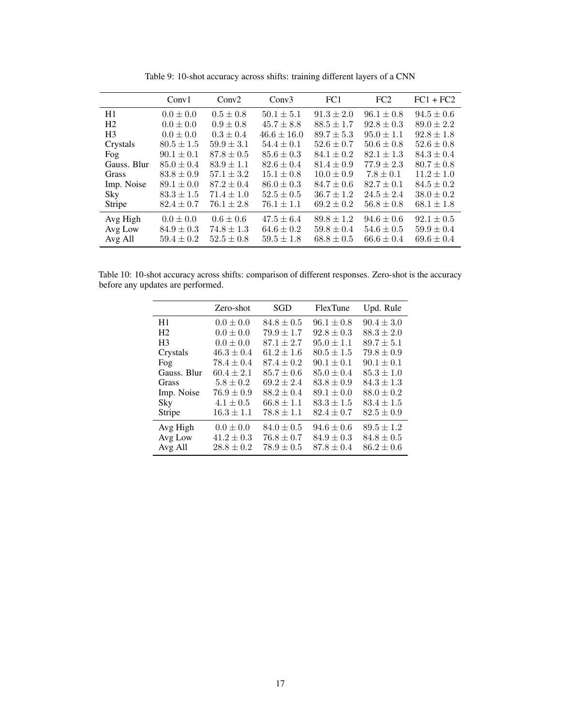|                | Conv1          | Conv2          | Conv3           | FC1            | FC2            | $FC1 + FC2$    |
|----------------|----------------|----------------|-----------------|----------------|----------------|----------------|
| H1             | $0.0 \pm 0.0$  | $0.5 \pm 0.8$  | $50.1 \pm 5.1$  | $91.3 \pm 2.0$ | $96.1 \pm 0.8$ | $94.5 \pm 0.6$ |
| H <sub>2</sub> | $0.0 \pm 0.0$  | $0.9 \pm 0.8$  | $45.7 \pm 8.8$  | $88.5 \pm 1.7$ | $92.8 \pm 0.3$ | $89.0 \pm 2.2$ |
| H <sub>3</sub> | $0.0 \pm 0.0$  | $0.3 \pm 0.4$  | $46.6 \pm 16.0$ | $89.7 \pm 5.3$ | $95.0 \pm 1.1$ | $92.8 \pm 1.8$ |
| Crystals       | $80.5 \pm 1.5$ | $59.9 \pm 3.1$ | $54.4 \pm 0.1$  | $52.6 \pm 0.7$ | $50.6 \pm 0.8$ | $52.6 \pm 0.8$ |
| Fog            | $90.1 \pm 0.1$ | $87.8 \pm 0.5$ | $85.6 \pm 0.3$  | $84.1 \pm 0.2$ | $82.1 \pm 1.3$ | $84.3 \pm 0.4$ |
| Gauss, Blur    | $85.0 \pm 0.4$ | $83.9 \pm 1.1$ | $82.6 \pm 0.4$  | $81.4 \pm 0.9$ | $77.9 \pm 2.3$ | $80.7 \pm 0.8$ |
| Grass          | $83.8 \pm 0.9$ | $57.1 \pm 3.2$ | $15.1 \pm 0.8$  | $10.0 \pm 0.9$ | $7.8 \pm 0.1$  | $11.2 \pm 1.0$ |
| Imp. Noise     | $89.1 \pm 0.0$ | $87.2 \pm 0.4$ | $86.0 \pm 0.3$  | $84.7 \pm 0.6$ | $82.7 \pm 0.1$ | $84.5 \pm 0.2$ |
| Sky            | $83.3 \pm 1.5$ | $71.4 \pm 1.0$ | $52.5 \pm 0.5$  | $36.7 \pm 1.2$ | $24.5 \pm 2.4$ | $38.0 \pm 0.2$ |
| Stripe         | $82.4 \pm 0.7$ | $76.1 \pm 2.8$ | $76.1 \pm 1.1$  | $69.2 \pm 0.2$ | $56.8 \pm 0.8$ | $68.1 \pm 1.8$ |
| Avg High       | $0.0 \pm 0.0$  | $0.6 \pm 0.6$  | $47.5 \pm 6.4$  | $89.8 \pm 1.2$ | $94.6 \pm 0.6$ | $92.1 \pm 0.5$ |
| Avg Low        | $84.9 \pm 0.3$ | $74.8 \pm 1.3$ | $64.6 \pm 0.2$  | $59.8 \pm 0.4$ | $54.6 \pm 0.5$ | $59.9 \pm 0.4$ |
| Avg All        | $59.4 \pm 0.2$ | $52.5 \pm 0.8$ | $59.5 \pm 1.8$  | $68.8 \pm 0.5$ | $66.6 \pm 0.4$ | $69.6 \pm 0.4$ |

Table 9: 10-shot accuracy across shifts: training different layers of a CNN

Table 10: 10-shot accuracy across shifts: comparison of different responses. Zero-shot is the accuracy before any updates are performed.

|                | Zero-shot      | SGD            | FlexTune       | Upd. Rule      |
|----------------|----------------|----------------|----------------|----------------|
| H1             | $0.0 \pm 0.0$  | $84.8 \pm 0.5$ | $96.1 \pm 0.8$ | $90.4 \pm 3.0$ |
| H <sub>2</sub> | $0.0 \pm 0.0$  | $79.9 \pm 1.7$ | $92.8 \pm 0.3$ | $88.3 \pm 2.0$ |
| H <sub>3</sub> | $0.0 \pm 0.0$  | $87.1 \pm 2.7$ | $95.0 \pm 1.1$ | $89.7 \pm 5.1$ |
| Crystals       | $46.3 \pm 0.4$ | $61.2 \pm 1.6$ | $80.5 \pm 1.5$ | $79.8 \pm 0.9$ |
| Fog            | $78.4 \pm 0.4$ | $87.4 \pm 0.2$ | $90.1 \pm 0.1$ | $90.1 \pm 0.1$ |
| Gauss. Blur    | $60.4 \pm 2.1$ | $85.7 \pm 0.6$ | $85.0 \pm 0.4$ | $85.3 \pm 1.0$ |
| Grass          | $5.8 \pm 0.2$  | $69.2 \pm 2.4$ | $83.8 \pm 0.9$ | $84.3 \pm 1.3$ |
| Imp. Noise     | $76.9 \pm 0.9$ | $88.2 \pm 0.4$ | $89.1 \pm 0.0$ | $88.0 \pm 0.2$ |
| Sky            | $4.1 \pm 0.5$  | $66.8 \pm 1.1$ | $83.3 \pm 1.5$ | $83.4 \pm 1.5$ |
| Stripe         | $16.3 \pm 1.1$ | $78.8 \pm 1.1$ | $82.4 \pm 0.7$ | $82.5 \pm 0.9$ |
| Avg High       | $0.0 \pm 0.0$  | $84.0 \pm 0.5$ | $94.6 \pm 0.6$ | $89.5 \pm 1.2$ |
| Avg Low        | $41.2 \pm 0.3$ | $76.8 \pm 0.7$ | $84.9 \pm 0.3$ | $84.8 \pm 0.5$ |
| Avg All        | $28.8 \pm 0.2$ | $78.9 \pm 0.5$ | $87.8 \pm 0.4$ | $86.2 \pm 0.6$ |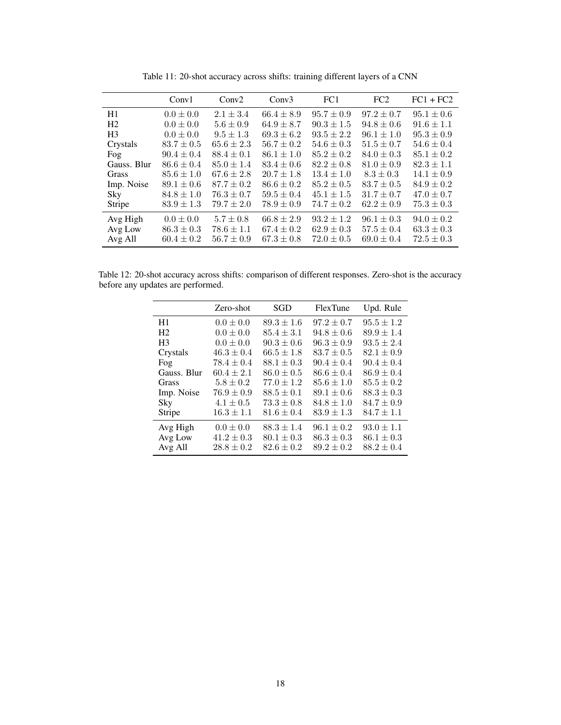|                | Conv1          | Conv2          | Conv3          | FC1            | FC2            | $FC1 + FC2$    |
|----------------|----------------|----------------|----------------|----------------|----------------|----------------|
| H1             | $0.0 \pm 0.0$  | $2.1 \pm 3.4$  | $66.4 \pm 8.9$ | $95.7 \pm 0.9$ | $97.2 \pm 0.7$ | $95.1 \pm 0.6$ |
| H <sub>2</sub> | $0.0 \pm 0.0$  | $5.6 \pm 0.9$  | $64.9 \pm 8.7$ | $90.3 \pm 1.5$ | $94.8 \pm 0.6$ | $91.6 \pm 1.1$ |
| H <sub>3</sub> | $0.0 \pm 0.0$  | $9.5 \pm 1.3$  | $69.3 \pm 6.2$ | $93.5 \pm 2.2$ | $96.1 \pm 1.0$ | $95.3 \pm 0.9$ |
| Crystals       | $83.7 \pm 0.5$ | $65.6 \pm 2.3$ | $56.7 \pm 0.2$ | $54.6 \pm 0.3$ | $51.5 \pm 0.7$ | $54.6 \pm 0.4$ |
| Fog            | $90.4 \pm 0.4$ | $88.4 \pm 0.1$ | $86.1 \pm 1.0$ | $85.2 \pm 0.2$ | $84.0 \pm 0.3$ | $85.1 \pm 0.2$ |
| Gauss. Blur    | $86.6 \pm 0.4$ | $85.0 \pm 1.4$ | $83.4 \pm 0.6$ | $82.2 \pm 0.8$ | $81.0 \pm 0.9$ | $82.3 \pm 1.1$ |
| <b>Grass</b>   | $85.6 \pm 1.0$ | $67.6 \pm 2.8$ | $20.7 \pm 1.8$ | $13.4 \pm 1.0$ | $8.3 \pm 0.3$  | $14.1 \pm 0.9$ |
| Imp. Noise     | $89.1 \pm 0.6$ | $87.7 \pm 0.2$ | $86.6 \pm 0.2$ | $85.2 \pm 0.5$ | $83.7 \pm 0.5$ | $84.9 \pm 0.2$ |
| Sky            | $84.8 \pm 1.0$ | $76.3 \pm 0.7$ | $59.5 \pm 0.4$ | $45.1 \pm 1.5$ | $31.7 \pm 0.7$ | $47.0 \pm 0.7$ |
| Stripe         | $83.9 \pm 1.3$ | $79.7 \pm 2.0$ | $78.9 \pm 0.9$ | $74.7 \pm 0.2$ | $62.2 \pm 0.9$ | $75.3 \pm 0.3$ |
| Avg High       | $0.0 \pm 0.0$  | $5.7 \pm 0.8$  | $66.8 \pm 2.9$ | $93.2 \pm 1.2$ | $96.1 \pm 0.3$ | $94.0 \pm 0.2$ |
| Avg Low        | $86.3 \pm 0.3$ | $78.6 \pm 1.1$ | $67.4 \pm 0.2$ | $62.9 \pm 0.3$ | $57.5 \pm 0.4$ | $63.3 \pm 0.3$ |
| Avg All        | $60.4 \pm 0.2$ | $56.7 \pm 0.9$ | $67.3 \pm 0.8$ | $72.0 \pm 0.5$ | $69.0 \pm 0.4$ | $72.5 \pm 0.3$ |

Table 11: 20-shot accuracy across shifts: training different layers of a CNN

Table 12: 20-shot accuracy across shifts: comparison of different responses. Zero-shot is the accuracy before any updates are performed.

|                | Zero-shot      | SGD            | FlexTune       | Upd. Rule      |
|----------------|----------------|----------------|----------------|----------------|
| H1             | $0.0 \pm 0.0$  | $89.3 \pm 1.6$ | $97.2 \pm 0.7$ | $95.5 \pm 1.2$ |
| H <sub>2</sub> | $0.0 \pm 0.0$  | $85.4 \pm 3.1$ | $94.8 \pm 0.6$ | $89.9 \pm 1.4$ |
| H <sub>3</sub> | $0.0 \pm 0.0$  | $90.3 \pm 0.6$ | $96.3 \pm 0.9$ | $93.5 \pm 2.4$ |
| Crystals       | $46.3 \pm 0.4$ | $66.5 \pm 1.8$ | $83.7 \pm 0.5$ | $82.1 \pm 0.9$ |
| Fog            | $78.4 \pm 0.4$ | $88.1 \pm 0.3$ | $90.4 \pm 0.4$ | $90.4 \pm 0.4$ |
| Gauss. Blur    | $60.4 \pm 2.1$ | $86.0 \pm 0.5$ | $86.6 \pm 0.4$ | $86.9 \pm 0.4$ |
| Grass          | $5.8 \pm 0.2$  | $77.0 \pm 1.2$ | $85.6 \pm 1.0$ | $85.5 \pm 0.2$ |
| Imp. Noise     | $76.9 \pm 0.9$ | $88.5 \pm 0.1$ | $89.1 \pm 0.6$ | $88.3 \pm 0.3$ |
| Sky            | $4.1 \pm 0.5$  | $73.3 \pm 0.8$ | $84.8 \pm 1.0$ | $84.7 \pm 0.9$ |
| Stripe         | $16.3 \pm 1.1$ | $81.6 \pm 0.4$ | $83.9 \pm 1.3$ | $84.7 \pm 1.1$ |
| Avg High       | $0.0 \pm 0.0$  | $88.3 \pm 1.4$ | $96.1 \pm 0.2$ | $93.0 \pm 1.1$ |
| Avg Low        | $41.2 \pm 0.3$ | $80.1 \pm 0.3$ | $86.3 \pm 0.3$ | $86.1 \pm 0.3$ |
| Avg All        | $28.8 \pm 0.2$ | $82.6 \pm 0.2$ | $89.2 \pm 0.2$ | $88.2 \pm 0.4$ |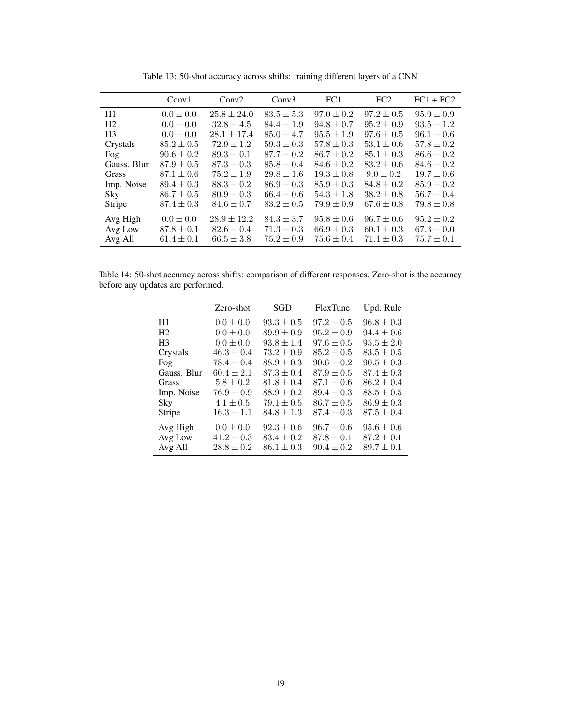|                | Conv1          | Conv2           | Conv3          | FC1            | FC2            | $FC1 + FC2$    |
|----------------|----------------|-----------------|----------------|----------------|----------------|----------------|
| H1             | $0.0 \pm 0.0$  | $25.8 \pm 24.0$ | $83.5 \pm 5.3$ | $97.0 \pm 0.2$ | $97.2 \pm 0.5$ | $95.9 \pm 0.9$ |
| H <sub>2</sub> | $0.0 \pm 0.0$  | $32.8 \pm 4.5$  | $84.4 \pm 1.9$ | $94.8 \pm 0.7$ | $95.2 \pm 0.9$ | $93.5 \pm 1.2$ |
| H <sub>3</sub> | $0.0 \pm 0.0$  | $28.1 \pm 17.4$ | $85.0 \pm 4.7$ | $95.5 \pm 1.9$ | $97.6 \pm 0.5$ | $96.1 \pm 0.6$ |
| Crystals       | $85.2 \pm 0.5$ | $72.9 \pm 1.2$  | $59.3 \pm 0.3$ | $57.8 \pm 0.3$ | $53.1 \pm 0.6$ | $57.8 \pm 0.2$ |
| Fog            | $90.6 \pm 0.2$ | $89.3 \pm 0.1$  | $87.7 \pm 0.2$ | $86.7 \pm 0.2$ | $85.1 \pm 0.3$ | $86.6 \pm 0.2$ |
| Gauss. Blur    | $87.9 \pm 0.5$ | $87.3 \pm 0.3$  | $85.8 \pm 0.4$ | $84.6 \pm 0.2$ | $83.2 \pm 0.6$ | $84.6 \pm 0.2$ |
| <b>Grass</b>   | $87.1 \pm 0.6$ | $75.2 \pm 1.9$  | $29.8 \pm 1.6$ | $19.3 \pm 0.8$ | $9.0 \pm 0.2$  | $19.7 \pm 0.6$ |
| Imp. Noise     | $89.4 \pm 0.3$ | $88.3 \pm 0.2$  | $86.9 \pm 0.3$ | $85.9 \pm 0.3$ | $84.8 \pm 0.2$ | $85.9 \pm 0.2$ |
| Sky            | $86.7 \pm 0.5$ | $80.9 \pm 0.3$  | $66.4 \pm 0.6$ | $54.3 \pm 1.8$ | $38.2 \pm 0.8$ | $56.7 \pm 0.4$ |
| Stripe         | $87.4 \pm 0.3$ | $84.6 \pm 0.7$  | $83.2 \pm 0.5$ | $79.9 \pm 0.9$ | $67.6 \pm 0.8$ | $79.8 \pm 0.8$ |
| Avg High       | $0.0 \pm 0.0$  | $28.9 \pm 12.2$ | $84.3 \pm 3.7$ | $95.8 \pm 0.6$ | $96.7 \pm 0.6$ | $95.2 \pm 0.2$ |
| Avg Low        | $87.8 \pm 0.1$ | $82.6 \pm 0.4$  | $71.3 \pm 0.3$ | $66.9 \pm 0.3$ | $60.1 \pm 0.3$ | $67.3 \pm 0.0$ |
| Avg All        | $61.4 \pm 0.1$ | $66.5 \pm 3.8$  | $75.2 \pm 0.9$ | $75.6 \pm 0.4$ | $71.1 \pm 0.3$ | $75.7 \pm 0.1$ |

Table 13: 50-shot accuracy across shifts: training different layers of a CNN

Table 14: 50-shot accuracy across shifts: comparison of different responses. Zero-shot is the accuracy before any updates are performed.

|                | Zero-shot      | SGD            | <b>FlexTune</b> | Upd. Rule      |
|----------------|----------------|----------------|-----------------|----------------|
| H1             | $0.0 \pm 0.0$  | $93.3 \pm 0.5$ | $97.2 \pm 0.5$  | $96.8 \pm 0.3$ |
| H <sub>2</sub> | $0.0 \pm 0.0$  | $89.9 \pm 0.9$ | $95.2 \pm 0.9$  | $94.4 \pm 0.6$ |
| H <sub>3</sub> | $0.0 \pm 0.0$  | $93.8 \pm 1.4$ | $97.6 \pm 0.5$  | $95.5 \pm 2.0$ |
| Crystals       | $46.3 \pm 0.4$ | $73.2 \pm 0.9$ | $85.2 \pm 0.5$  | $83.5 \pm 0.5$ |
| Fog            | $78.4 \pm 0.4$ | $88.9 \pm 0.3$ | $90.6 \pm 0.2$  | $90.5 \pm 0.3$ |
| Gauss. Blur    | $60.4 \pm 2.1$ | $87.3 \pm 0.4$ | $87.9 \pm 0.5$  | $87.4 \pm 0.3$ |
| Grass          | $5.8 \pm 0.2$  | $81.8 \pm 0.4$ | $87.1 \pm 0.6$  | $86.2 \pm 0.4$ |
| Imp. Noise     | $76.9 \pm 0.9$ | $88.9 \pm 0.2$ | $89.4 \pm 0.3$  | $88.5 \pm 0.5$ |
| Sky            | $4.1 \pm 0.5$  | $79.1 \pm 0.5$ | $86.7 \pm 0.5$  | $86.9 \pm 0.3$ |
| Stripe         | $16.3 \pm 1.1$ | $84.8 \pm 1.3$ | $87.4 \pm 0.3$  | $87.5 \pm 0.4$ |
| Avg High       | $0.0 \pm 0.0$  | $92.3 \pm 0.6$ | $96.7 \pm 0.6$  | $95.6 \pm 0.6$ |
| Avg Low        | $41.2 \pm 0.3$ | $83.4 \pm 0.2$ | $87.8 \pm 0.1$  | $87.2 \pm 0.1$ |
| Avg All        | $28.8 \pm 0.2$ | $86.1 \pm 0.3$ | $90.4 \pm 0.2$  | $89.7 \pm 0.1$ |